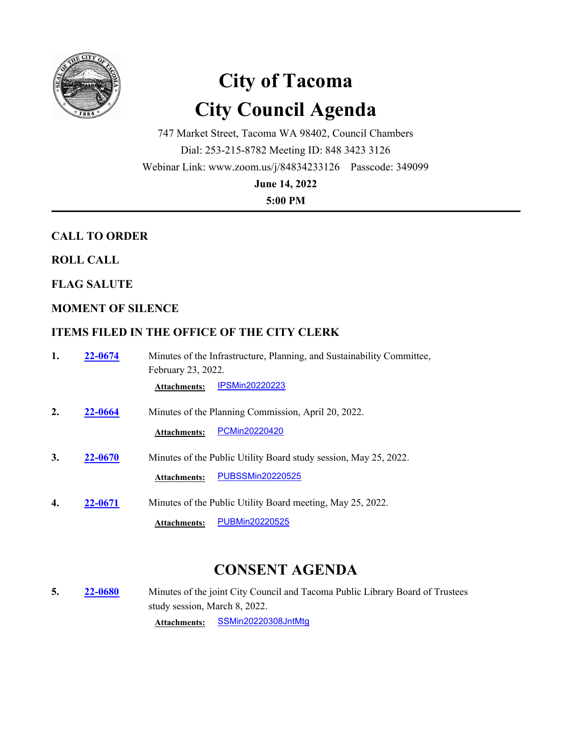

# **City of Tacoma City Council Agenda**

747 Market Street, Tacoma WA 98402, Council Chambers Dial: 253-215-8782 Meeting ID: 848 3423 3126 Webinar Link: www.zoom.us/j/84834233126 Passcode: 349099

**June 14, 2022**

**5:00 PM**

# **CALL TO ORDER**

**ROLL CALL**

**FLAG SALUTE**

# **MOMENT OF SILENCE**

# **ITEMS FILED IN THE OFFICE OF THE CITY CLERK**

**1. 22-0674** Minutes of the Infrastructure, Planning, and Sustainability Committee, February 23, 2022. **22-0674 Attachments:** [IPSMin20220223](http://cityoftacoma.legistar.com/gateway.aspx?M=F&ID=873cc05f-4372-4d5c-b8dc-c4626cf9df25.pdf)

**2. 22-0664** Minutes of the Planning Commission, April 20, 2022.

**Attachments:** [PCMin20220420](http://cityoftacoma.legistar.com/gateway.aspx?M=F&ID=b6fab33a-66f2-4735-a668-54c20168e773.pdf)

- **3. 22-0670** Minutes of the Public Utility Board study session, May 25, 2022. **Attachments:** [PUBSSMin20220525](http://cityoftacoma.legistar.com/gateway.aspx?M=F&ID=f322d446-b1d7-4aea-bfef-6f3422b5e390.pdf)
- **4. 22-0671** Minutes of the Public Utility Board meeting, May 25, 2022.

**Attachments:** [PUBMin20220525](http://cityoftacoma.legistar.com/gateway.aspx?M=F&ID=e50e2a93-e19e-46ce-9942-e102c4ed173a.pdf)

# **CONSENT AGENDA**

**5. 22-0680** Minutes of the joint City Council and Tacoma Public Library Board of Trustees study session, March 8, 2022. **22-0680**

**Attachments:** [SSMin20220308JntMtg](http://cityoftacoma.legistar.com/gateway.aspx?M=F&ID=ae87b404-4ff2-45ea-8154-b91be270d821.pdf)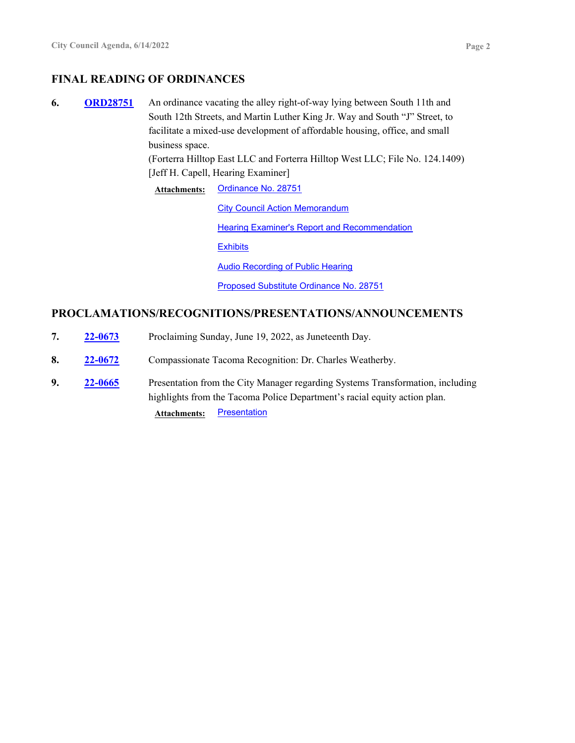# **FINAL READING OF ORDINANCES**

**6.** ORD28751 An ordinance vacating the alley right-of-way lying between South 11th and South 12th Streets, and Martin Luther King Jr. Way and South "J" Street, to facilitate a mixed-use development of affordable housing, office, and small business space. **ORD28751**

> (Forterra Hilltop East LLC and Forterra Hilltop West LLC; File No. 124.1409) [Jeff H. Capell, Hearing Examiner]

**Attachments:** [Ordinance No. 28751](http://cityoftacoma.legistar.com/gateway.aspx?M=F&ID=fc68a99b-ffcf-4e37-8568-4332497e8488.pdf) **[City Council Action Memorandum](http://cityoftacoma.legistar.com/gateway.aspx?M=F&ID=3fade3f9-149e-4e3d-b34e-66759ae28760.pdf) [Hearing Examiner's Report and Recommendation](http://cityoftacoma.legistar.com/gateway.aspx?M=F&ID=a0b87e2d-dd09-4452-8d43-ea28b4e89f85.pdf) [Exhibits](http://cityoftacoma.legistar.com/gateway.aspx?M=F&ID=ba243ddd-1ebe-4a06-9f90-987066be26e8.pdf)** [Audio Recording of Public Hearing](http://cityoftacoma.legistar.com/gateway.aspx?M=F&ID=74e9526f-84e8-475b-a49e-b0ebc00a87d7.mp3) [Proposed Substitute Ordinance No. 28751](http://cityoftacoma.legistar.com/gateway.aspx?M=F&ID=2b1c142c-ba45-4efc-844d-577b3dc4c934.pdf)

#### **PROCLAMATIONS/RECOGNITIONS/PRESENTATIONS/ANNOUNCEMENTS**

| 7. | 22-0673        | Proclaiming Sunday, June 19, 2022, as Juneteenth Day.                                                                                                       |
|----|----------------|-------------------------------------------------------------------------------------------------------------------------------------------------------------|
| 8. | 22-0672        | Compassionate Tacoma Recognition: Dr. Charles Weatherby.                                                                                                    |
| 9. | <b>22-0665</b> | Presentation from the City Manager regarding Systems Transformation, including<br>highlights from the Tacoma Police Department's racial equity action plan. |
|    |                | <b>Presentation</b><br><b>Attachments:</b>                                                                                                                  |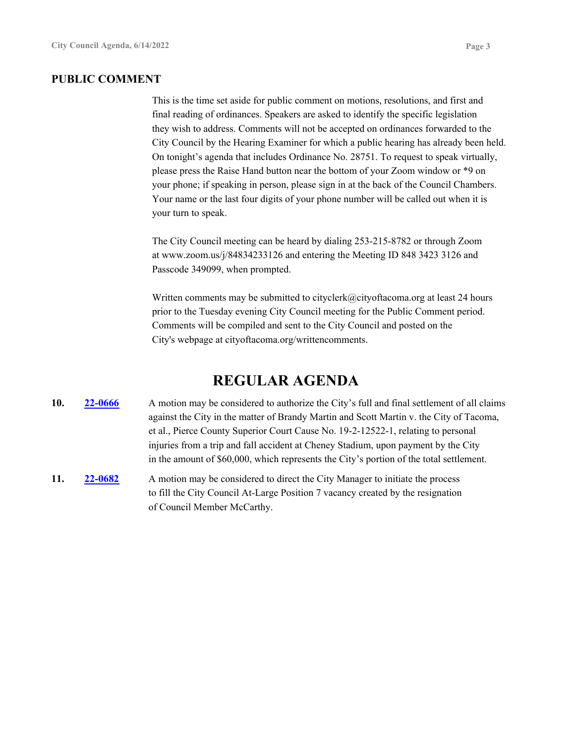#### **PUBLIC COMMENT**

This is the time set aside for public comment on motions, resolutions, and first and final reading of ordinances. Speakers are asked to identify the specific legislation they wish to address. Comments will not be accepted on ordinances forwarded to the City Council by the Hearing Examiner for which a public hearing has already been held. On tonight's agenda that includes Ordinance No. 28751. To request to speak virtually, please press the Raise Hand button near the bottom of your Zoom window or \*9 on your phone; if speaking in person, please sign in at the back of the Council Chambers. Your name or the last four digits of your phone number will be called out when it is your turn to speak.

The City Council meeting can be heard by dialing 253-215-8782 or through Zoom at www.zoom.us/j/84834233126 and entering the Meeting ID 848 3423 3126 and Passcode 349099, when prompted.

Written comments may be submitted to cityclerk@cityoftacoma.org at least 24 hours prior to the Tuesday evening City Council meeting for the Public Comment period. Comments will be compiled and sent to the City Council and posted on the City's webpage at cityoftacoma.org/writtencomments.

# **REGULAR AGENDA**

#### **10. 22-0666** A motion may be considered to authorize the City's full and final settlement of all claims against the City in the matter of Brandy Martin and Scott Martin v. the City of Tacoma, et al., Pierce County Superior Court Cause No. 19-2-12522-1, relating to personal injuries from a trip and fall accident at Cheney Stadium, upon payment by the City in the amount of \$60,000, which represents the City's portion of the total settlement. **22-0666**

**11. 22-0682** A motion may be considered to direct the City Manager to initiate the process to fill the City Council At-Large Position 7 vacancy created by the resignation of Council Member McCarthy. **22-0682**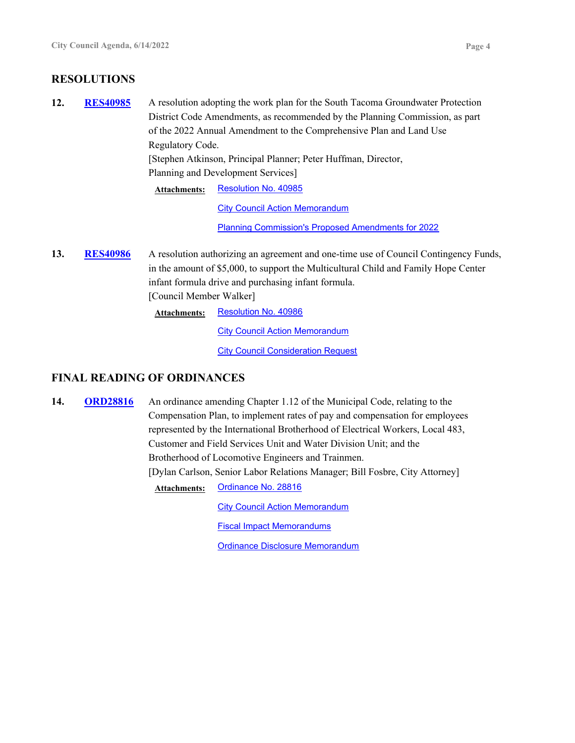## **RESOLUTIONS**

- 12. RES40985 A resolution adopting the work plan for the South Tacoma Groundwater Protection District Code Amendments, as recommended by the Planning Commission, as part of the 2022 Annual Amendment to the Comprehensive Plan and Land Use Regulatory Code. [Stephen Atkinson, Principal Planner; Peter Huffman, Director, Planning and Development Services] **RES40985** Attachments: [Resolution No. 40985](http://cityoftacoma.legistar.com/gateway.aspx?M=F&ID=971e10ae-f343-4b74-841d-b019275a0586.pdf) **[City Council Action Memorandum](http://cityoftacoma.legistar.com/gateway.aspx?M=F&ID=f2e9f146-9ec8-47c4-8f1a-c00a3a43c61c.pdf)** [Planning Commission's Proposed Amendments for 2022](http://cityoftacoma.legistar.com/gateway.aspx?M=F&ID=2e2c9c1b-81fd-4ef6-a3da-3b822bd2a9c2.pdf)
- **13.** RES40986 A resolution authorizing an agreement and one-time use of Council Contingency Funds, in the amount of \$5,000, to support the Multicultural Child and Family Hope Center infant formula drive and purchasing infant formula. [Council Member Walker] **RES40986**

Attachments: [Resolution No. 40986](http://cityoftacoma.legistar.com/gateway.aspx?M=F&ID=711b3b05-db4b-49bb-ab36-cdc88d539ea6.pdf)

**[City Council Action Memorandum](http://cityoftacoma.legistar.com/gateway.aspx?M=F&ID=fe2cf883-ddf8-40ba-a633-bf9b8fa66722.pdf)** 

**[City Council Consideration Request](http://cityoftacoma.legistar.com/gateway.aspx?M=F&ID=73bcfb45-fdb1-478e-8a1a-de3ef1842556.pdf)** 

#### **FINAL READING OF ORDINANCES**

**14. ORD28816** An ordinance amending Chapter 1.12 of the Municipal Code, relating to the Compensation Plan, to implement rates of pay and compensation for employees represented by the International Brotherhood of Electrical Workers, Local 483, Customer and Field Services Unit and Water Division Unit; and the Brotherhood of Locomotive Engineers and Trainmen. [Dylan Carlson, Senior Labor Relations Manager; Bill Fosbre, City Attorney] **ORD28816 Attachments:** [Ordinance No. 28816](http://cityoftacoma.legistar.com/gateway.aspx?M=F&ID=5ceb7007-af1e-42f6-9b1d-8e32795a9e09.pdf)

[City Council Action Memorandum](http://cityoftacoma.legistar.com/gateway.aspx?M=F&ID=5fb95f4c-7c32-4a63-b0fa-188ab9232302.pdf)

[Fiscal Impact Memorandums](http://cityoftacoma.legistar.com/gateway.aspx?M=F&ID=5b80daac-abe7-4217-b118-90201df4ebe0.pdf)

[Ordinance Disclosure Memorandum](http://cityoftacoma.legistar.com/gateway.aspx?M=F&ID=fc5d9a11-c25a-49fe-a8e5-b20aff84c6a8.pdf)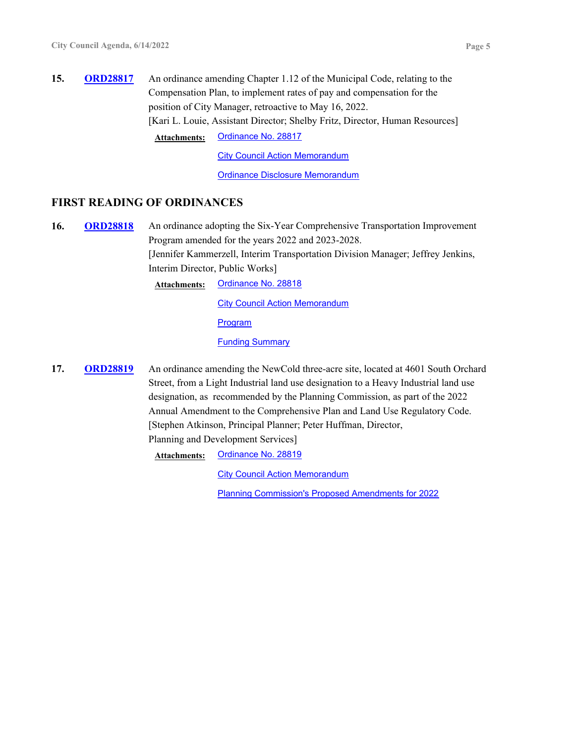**15. ORD28817** An ordinance amending Chapter 1.12 of the Municipal Code, relating to the Compensation Plan, to implement rates of pay and compensation for the position of City Manager, retroactive to May 16, 2022. [Kari L. Louie, Assistant Director; Shelby Fritz, Director, Human Resources] **ORD28817 Attachments:** [Ordinance No. 28817](http://cityoftacoma.legistar.com/gateway.aspx?M=F&ID=607a243e-d32a-4461-b259-8022480fda97.pdf)

[City Council Action Memorandum](http://cityoftacoma.legistar.com/gateway.aspx?M=F&ID=3b5dd31b-70b8-47af-b427-edb2938895e6.pdf)

[Ordinance Disclosure Memorandum](http://cityoftacoma.legistar.com/gateway.aspx?M=F&ID=dbea6956-e440-4d18-a47e-d375b011787c.pdf)

#### **FIRST READING OF ORDINANCES**

**16. ORD28818** An ordinance adopting the Six-Year Comprehensive Transportation Improvement Program amended for the years 2022 and 2023-2028. [Jennifer Kammerzell, Interim Transportation Division Manager; Jeffrey Jenkins, Interim Director, Public Works] **ORD28818**

**Attachments:** [Ordinance No. 28818](http://cityoftacoma.legistar.com/gateway.aspx?M=F&ID=e25999c7-7317-4251-b547-c1258e089d6f.pdf)

[City Council Action Memorandum](http://cityoftacoma.legistar.com/gateway.aspx?M=F&ID=71905ae5-3143-456f-81a2-36a64c164cdc.pdf)

[Program](http://cityoftacoma.legistar.com/gateway.aspx?M=F&ID=1118bce9-67c9-4e1d-8dd3-0fd752347631.pdf)

[Funding Summary](http://cityoftacoma.legistar.com/gateway.aspx?M=F&ID=f350191d-4b18-453a-b1ff-0c2695d5fb19.pdf)

**17. ORD28819** An ordinance amending the NewCold three-acre site, located at 4601 South Orchard Street, from a Light Industrial land use designation to a Heavy Industrial land use designation, as recommended by the Planning Commission, as part of the 2022 Annual Amendment to the Comprehensive Plan and Land Use Regulatory Code. [Stephen Atkinson, Principal Planner; Peter Huffman, Director, Planning and Development Services] **ORD28819**

**Attachments:** [Ordinance No. 28819](http://cityoftacoma.legistar.com/gateway.aspx?M=F&ID=f5add738-3ffd-42d1-b207-a5da54382e42.pdf)

[City Council Action Memorandum](http://cityoftacoma.legistar.com/gateway.aspx?M=F&ID=04fb2953-20e0-4f81-8f35-efae7d8c142d.pdf)

[Planning Commission's Proposed Amendments for 2022](http://cityoftacoma.legistar.com/gateway.aspx?M=F&ID=136956a2-a689-4f86-bc4c-a83d3071d8d3.pdf)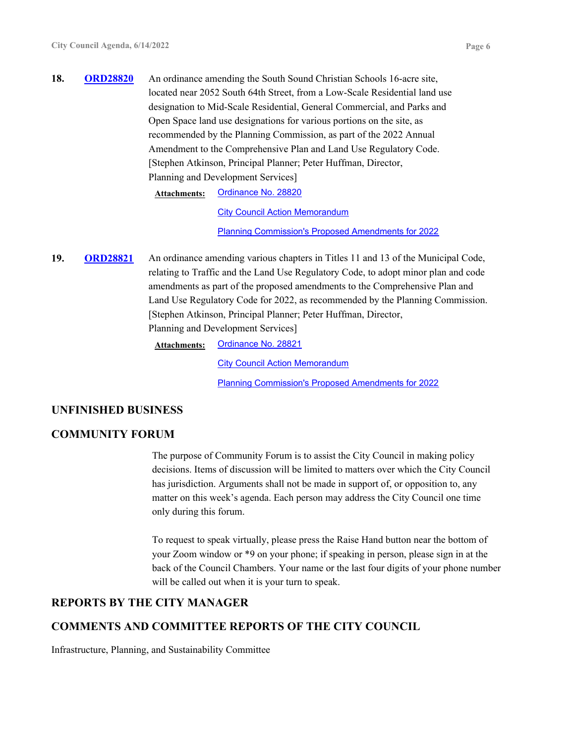**18.** ORD28820 An ordinance amending the South Sound Christian Schools 16-acre site, located near 2052 South 64th Street, from a Low-Scale Residential land use designation to Mid-Scale Residential, General Commercial, and Parks and Open Space land use designations for various portions on the site, as recommended by the Planning Commission, as part of the 2022 Annual Amendment to the Comprehensive Plan and Land Use Regulatory Code. [Stephen Atkinson, Principal Planner; Peter Huffman, Director, Planning and Development Services] **ORD28820**

**Attachments:** [Ordinance No. 28820](http://cityoftacoma.legistar.com/gateway.aspx?M=F&ID=65276f9c-4d98-4090-b094-d2fc3fe2e7bb.pdf)

[City Council Action Memorandum](http://cityoftacoma.legistar.com/gateway.aspx?M=F&ID=e4bf7a17-407a-4624-8b16-8c58e42f9566.pdf) [Planning Commission's Proposed Amendments for 2022](http://cityoftacoma.legistar.com/gateway.aspx?M=F&ID=ef0e8e89-0ff4-44b5-94e4-394d38005c2a.pdf)

19. ORD28821 An ordinance amending various chapters in Titles 11 and 13 of the Municipal Code, relating to Traffic and the Land Use Regulatory Code, to adopt minor plan and code amendments as part of the proposed amendments to the Comprehensive Plan and Land Use Regulatory Code for 2022, as recommended by the Planning Commission. [Stephen Atkinson, Principal Planner; Peter Huffman, Director, Planning and Development Services] **ORD28821**

**Attachments:** [Ordinance No. 28821](http://cityoftacoma.legistar.com/gateway.aspx?M=F&ID=8c35f00d-59ee-49fa-915a-c20fcb81f6ae.pdf)

[City Council Action Memorandum](http://cityoftacoma.legistar.com/gateway.aspx?M=F&ID=54b72892-ccc6-46a9-abc8-5f4ec7056aa6.pdf) [Planning Commission's Proposed Amendments for 2022](http://cityoftacoma.legistar.com/gateway.aspx?M=F&ID=07927bfd-e2d2-4361-9380-52ca05a0d1c8.pdf)

#### **UNFINISHED BUSINESS**

#### **COMMUNITY FORUM**

The purpose of Community Forum is to assist the City Council in making policy decisions. Items of discussion will be limited to matters over which the City Council has jurisdiction. Arguments shall not be made in support of, or opposition to, any matter on this week's agenda. Each person may address the City Council one time only during this forum.

To request to speak virtually, please press the Raise Hand button near the bottom of your Zoom window or \*9 on your phone; if speaking in person, please sign in at the back of the Council Chambers. Your name or the last four digits of your phone number will be called out when it is your turn to speak.

#### **REPORTS BY THE CITY MANAGER**

# **COMMENTS AND COMMITTEE REPORTS OF THE CITY COUNCIL**

Infrastructure, Planning, and Sustainability Committee